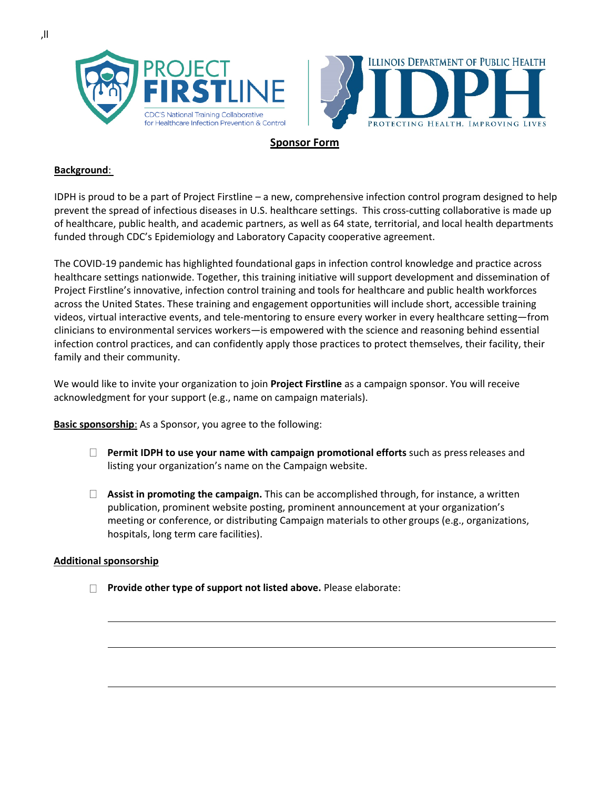



## **Sponsor Form**

## **Background**:

IDPH is proud to be a part of Project Firstline – a new, comprehensive infection control program designed to help prevent the spread of infectious diseases in U.S. healthcare settings. This cross-cutting collaborative is made up of healthcare, public health, and academic partners, as well as 64 state, territorial, and local health departments funded through CDC's Epidemiology and Laboratory Capacity cooperative agreement.

The COVID-19 pandemic has highlighted foundational gaps in infection control knowledge and practice across healthcare settings nationwide. Together, this training initiative will support development and dissemination of Project Firstline's innovative, infection control training and tools for healthcare and public health workforces across the United States. These training and engagement opportunities will include short, accessible training videos, virtual interactive events, and tele-mentoring to ensure every worker in every healthcare setting—from clinicians to environmental services workers—is empowered with the science and reasoning behind essential infection control practices, and can confidently apply those practices to protect themselves, their facility, their family and their community.

We would like to invite your organization to join **Project Firstline** as a campaign sponsor. You will receive acknowledgment for your support (e.g., name on campaign materials).

**Basic sponsorship**: As a Sponsor, you agree to the following:

- **Permit IDPH to use your name with campaign promotional efforts** such as pressreleases and listing your organization's name on the Campaign website.
- **Assist in promoting the campaign.** This can be accomplished through, for instance, a written publication, prominent website posting, prominent announcement at your organization's meeting or conference, or distributing Campaign materials to other groups (e.g., organizations, hospitals, long term care facilities).

## **Additional sponsorship**

**Provide other type of support not listed above.** Please elaborate: